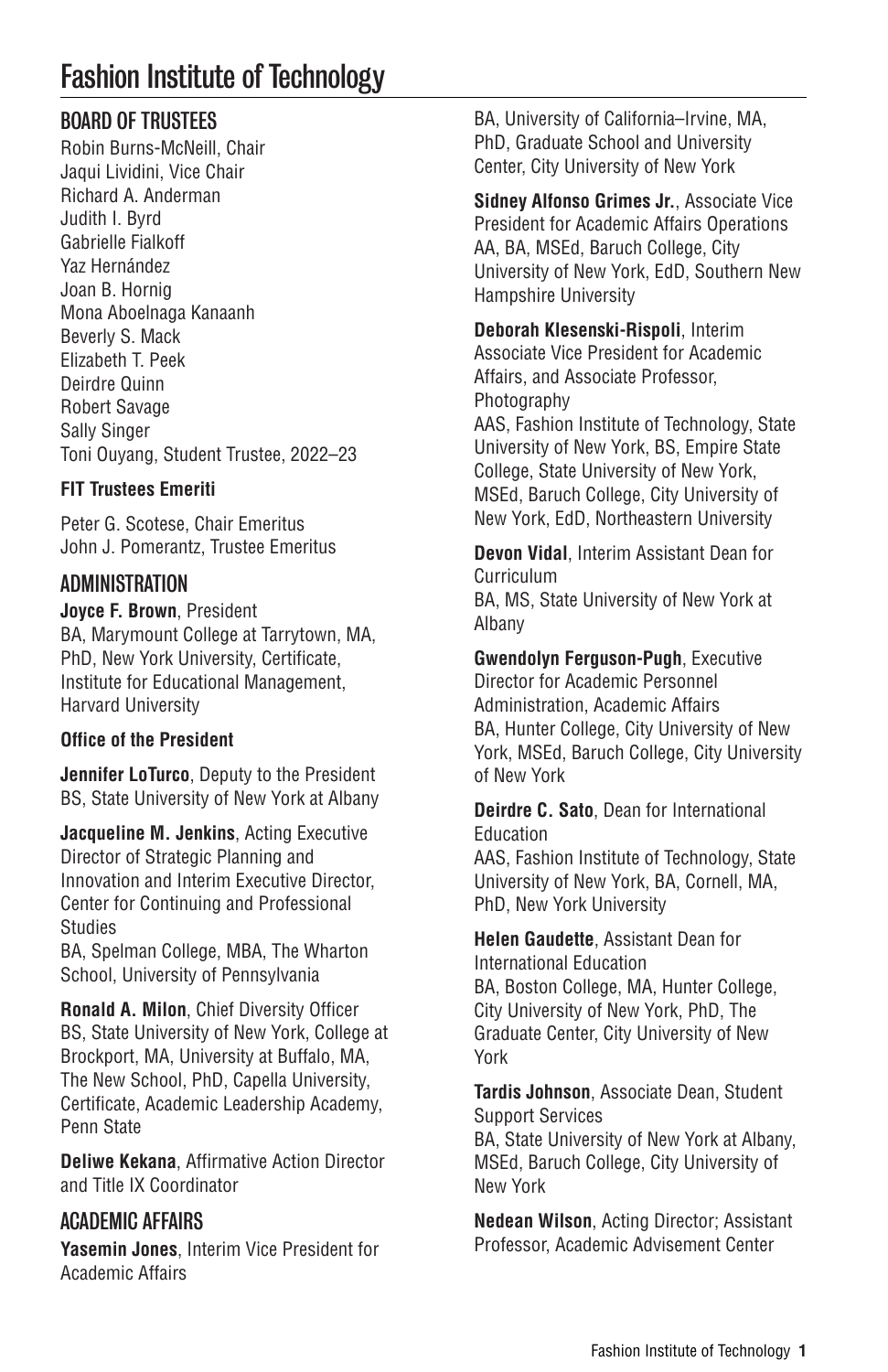# Fashion Institute of Technology

### BOARD OF TRUSTEES

Robin Burns-McNeill, Chair Jaqui Lividini, Vice Chair Richard A. Anderman Judith I. Byrd Gabrielle Fialkoff Yaz Hernández Joan B. Hornig Mona Aboelnaga Kanaanh Beverly S. Mack Elizabeth T. Peek Deirdre Quinn Robert Savage Sally Singer Toni Ouyang, Student Trustee, 2022–23

### **FIT Trustees Emeriti**

Peter G. Scotese, Chair Emeritus John J. Pomerantz, Trustee Emeritus

### ADMINISTRATION

**Joyce F. Brown**, President BA, Marymount College at Tarrytown, MA, PhD, New York University, Certificate, Institute for Educational Management, Harvard University

### **Office of the President**

**Jennifer LoTurco**, Deputy to the President BS, State University of New York at Albany

**Jacqueline M. Jenkins**, Acting Executive Director of Strategic Planning and Innovation and Interim Executive Director, Center for Continuing and Professional **Studies** 

BA, Spelman College, MBA, The Wharton School, University of Pennsylvania

**Ronald A. Milon**, Chief Diversity Officer BS, State University of New York, College at Brockport, MA, University at Buffalo, MA, The New School, PhD, Capella University, Certificate, Academic Leadership Academy, Penn State

**Deliwe Kekana**, Affirmative Action Director and Title IX Coordinator

### ACADEMIC AFFAIRS

**Yasemin Jones**, Interim Vice President for Academic Affairs

BA, University of California–Irvine, MA, PhD, Graduate School and University Center, City University of New York

**Sidney Alfonso Grimes Jr.**, Associate Vice President for Academic Affairs Operations AA, BA, MSEd, Baruch College, City University of New York, EdD, Southern New Hampshire University

**Deborah Klesenski-Rispoli**, Interim Associate Vice President for Academic Affairs, and Associate Professor, Photography

AAS, Fashion Institute of Technology, State University of New York, BS, Empire State College, State University of New York, MSEd, Baruch College, City University of New York, EdD, Northeastern University

**Devon Vidal**, Interim Assistant Dean for Curriculum BA, MS, State University of New York at Albany

**Gwendolyn Ferguson-Pugh**, Executive Director for Academic Personnel Administration, Academic Affairs BA, Hunter College, City University of New York, MSEd, Baruch College, City University of New York

**Deirdre C. Sato**, Dean for International Education AAS, Fashion Institute of Technology, State University of New York, BA, Cornell, MA,

PhD, New York University

**Helen Gaudette**, Assistant Dean for International Education BA, Boston College, MA, Hunter College, City University of New York, PhD, The Graduate Center, City University of New York

**Tardis Johnson**, Associate Dean, Student Support Services BA, State University of New York at Albany, MSEd, Baruch College, City University of New York

**Nedean Wilson**, Acting Director; Assistant Professor, Academic Advisement Center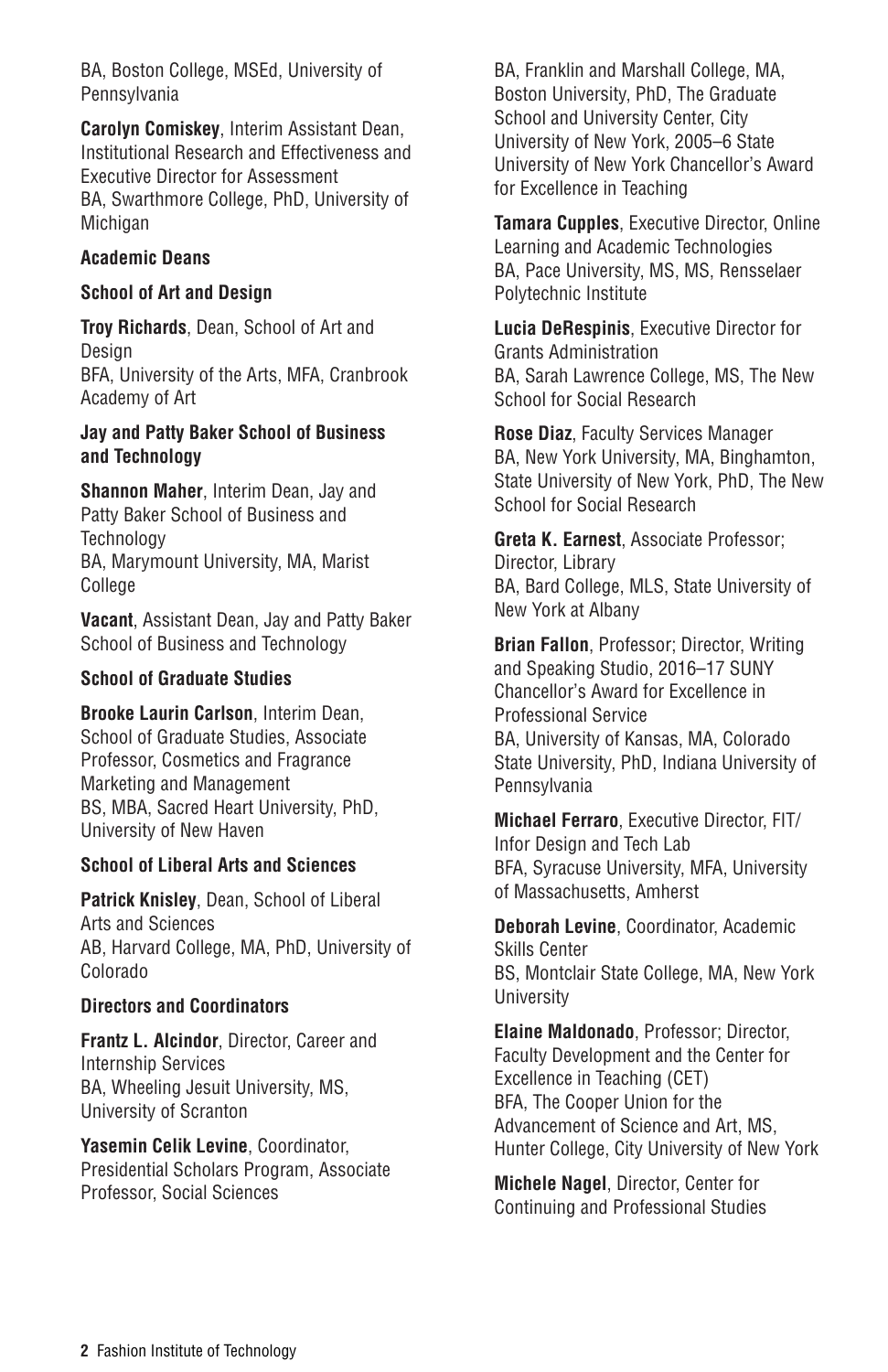BA, Boston College, MSEd, University of Pennsylvania

**Carolyn Comiskey**, Interim Assistant Dean, Institutional Research and Effectiveness and Executive Director for Assessment BA, Swarthmore College, PhD, University of Michigan

#### **Academic Deans**

#### **School of Art and Design**

**Troy Richards**, Dean, School of Art and Design BFA, University of the Arts, MFA, Cranbrook Academy of Art

#### **Jay and Patty Baker School of Business and Technology**

**Shannon Maher**, Interim Dean, Jay and Patty Baker School of Business and **Technology** BA, Marymount University, MA, Marist College

**Vacant**, Assistant Dean, Jay and Patty Baker School of Business and Technology

#### **School of Graduate Studies**

**Brooke Laurin Carlson**, Interim Dean, School of Graduate Studies, Associate Professor, Cosmetics and Fragrance Marketing and Management BS, MBA, Sacred Heart University, PhD, University of New Haven

#### **School of Liberal Arts and Sciences**

**Patrick Knisley**, Dean, School of Liberal Arts and Sciences AB, Harvard College, MA, PhD, University of Colorado

#### **Directors and Coordinators**

**Frantz L. Alcindor**, Director, Career and Internship Services BA, Wheeling Jesuit University, MS, University of Scranton

**Yasemin Celik Levine**, Coordinator, Presidential Scholars Program, Associate Professor, Social Sciences

BA, Franklin and Marshall College, MA, Boston University, PhD, The Graduate School and University Center, City University of New York, 2005–6 State University of New York Chancellor's Award for Excellence in Teaching

**Tamara Cupples**, Executive Director, Online Learning and Academic Technologies BA, Pace University, MS, MS, Rensselaer Polytechnic Institute

**Lucia DeRespinis**, Executive Director for Grants Administration BA, Sarah Lawrence College, MS, The New School for Social Research

**Rose Diaz**, Faculty Services Manager BA, New York University, MA, Binghamton, State University of New York, PhD, The New School for Social Research

**Greta K. Earnest**, Associate Professor; Director, Library BA, Bard College, MLS, State University of New York at Albany

**Brian Fallon**, Professor; Director, Writing and Speaking Studio, 2016–17 SUNY Chancellor's Award for Excellence in Professional Service BA, University of Kansas, MA, Colorado State University, PhD, Indiana University of Pennsylvania

**Michael Ferraro**, Executive Director, FIT/ Infor Design and Tech Lab BFA, Syracuse University, MFA, University of Massachusetts, Amherst

**Deborah Levine**, Coordinator, Academic Skills Center BS, Montclair State College, MA, New York University

**Elaine Maldonado**, Professor; Director, Faculty Development and the Center for Excellence in Teaching (CET) BFA, The Cooper Union for the Advancement of Science and Art, MS, Hunter College, City University of New York

**Michele Nagel**, Director, Center for Continuing and Professional Studies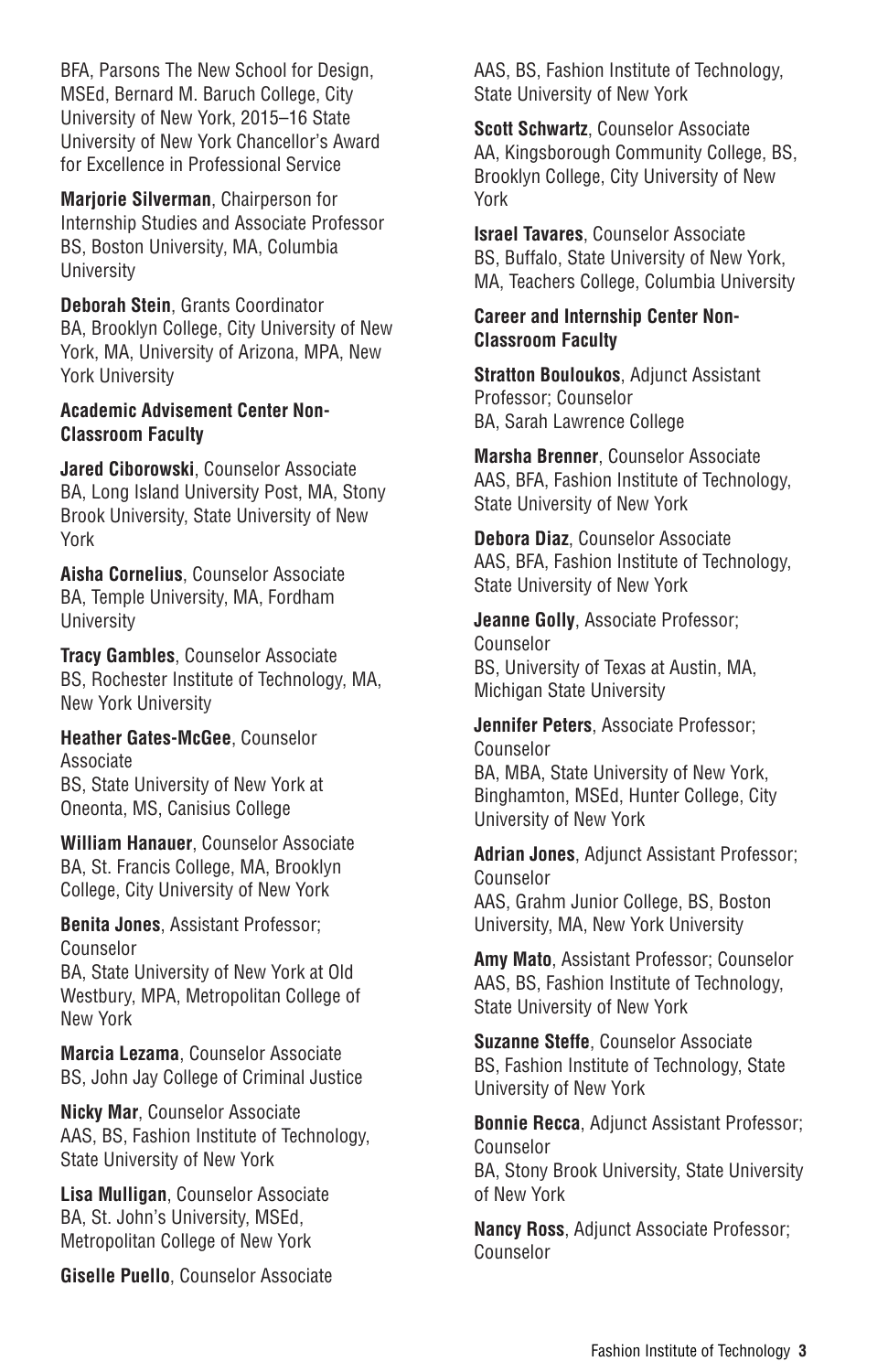BFA, Parsons The New School for Design, MSEd, Bernard M. Baruch College, City University of New York, 2015–16 State University of New York Chancellor's Award for Excellence in Professional Service

**Marjorie Silverman**, Chairperson for Internship Studies and Associate Professor BS, Boston University, MA, Columbia University

**Deborah Stein**, Grants Coordinator BA, Brooklyn College, City University of New York, MA, University of Arizona, MPA, New York University

#### **Academic Advisement Center Non-Classroom Faculty**

**Jared Ciborowski**, Counselor Associate BA, Long Island University Post, MA, Stony Brook University, State University of New York

**Aisha Cornelius**, Counselor Associate BA, Temple University, MA, Fordham University

**Tracy Gambles**, Counselor Associate BS, Rochester Institute of Technology, MA, New York University

**Heather Gates-McGee**, Counselor Associate BS, State University of New York at Oneonta, MS, Canisius College

**William Hanauer**, Counselor Associate BA, St. Francis College, MA, Brooklyn College, City University of New York

**Benita Jones**, Assistant Professor; Counselor

BA, State University of New York at Old Westbury, MPA, Metropolitan College of New York

**Marcia Lezama**, Counselor Associate BS, John Jay College of Criminal Justice

**Nicky Mar**, Counselor Associate AAS, BS, Fashion Institute of Technology, State University of New York

**Lisa Mulligan**, Counselor Associate BA, St. John's University, MSEd, Metropolitan College of New York

**Giselle Puello**, Counselor Associate

AAS, BS, Fashion Institute of Technology, State University of New York

**Scott Schwartz**, Counselor Associate AA, Kingsborough Community College, BS, Brooklyn College, City University of New York

**Israel Tavares**, Counselor Associate BS, Buffalo, State University of New York, MA, Teachers College, Columbia University

#### **Career and Internship Center Non-Classroom Faculty**

**Stratton Bouloukos**, Adjunct Assistant Professor; Counselor BA, Sarah Lawrence College

**Marsha Brenner**, Counselor Associate AAS, BFA, Fashion Institute of Technology, State University of New York

**Debora Diaz**, Counselor Associate AAS, BFA, Fashion Institute of Technology, State University of New York

**Jeanne Golly**, Associate Professor; Counselor BS, University of Texas at Austin, MA, Michigan State University

**Jennifer Peters**, Associate Professor; Counselor BA, MBA, State University of New York, Binghamton, MSEd, Hunter College, City University of New York

**Adrian Jones**, Adjunct Assistant Professor; Counselor AAS, Grahm Junior College, BS, Boston University, MA, New York University

**Amy Mato**, Assistant Professor; Counselor AAS, BS, Fashion Institute of Technology, State University of New York

**Suzanne Steffe**, Counselor Associate BS, Fashion Institute of Technology, State University of New York

**Bonnie Recca**, Adjunct Assistant Professor; Counselor BA, Stony Brook University, State University of New York

**Nancy Ross**, Adjunct Associate Professor; Counselor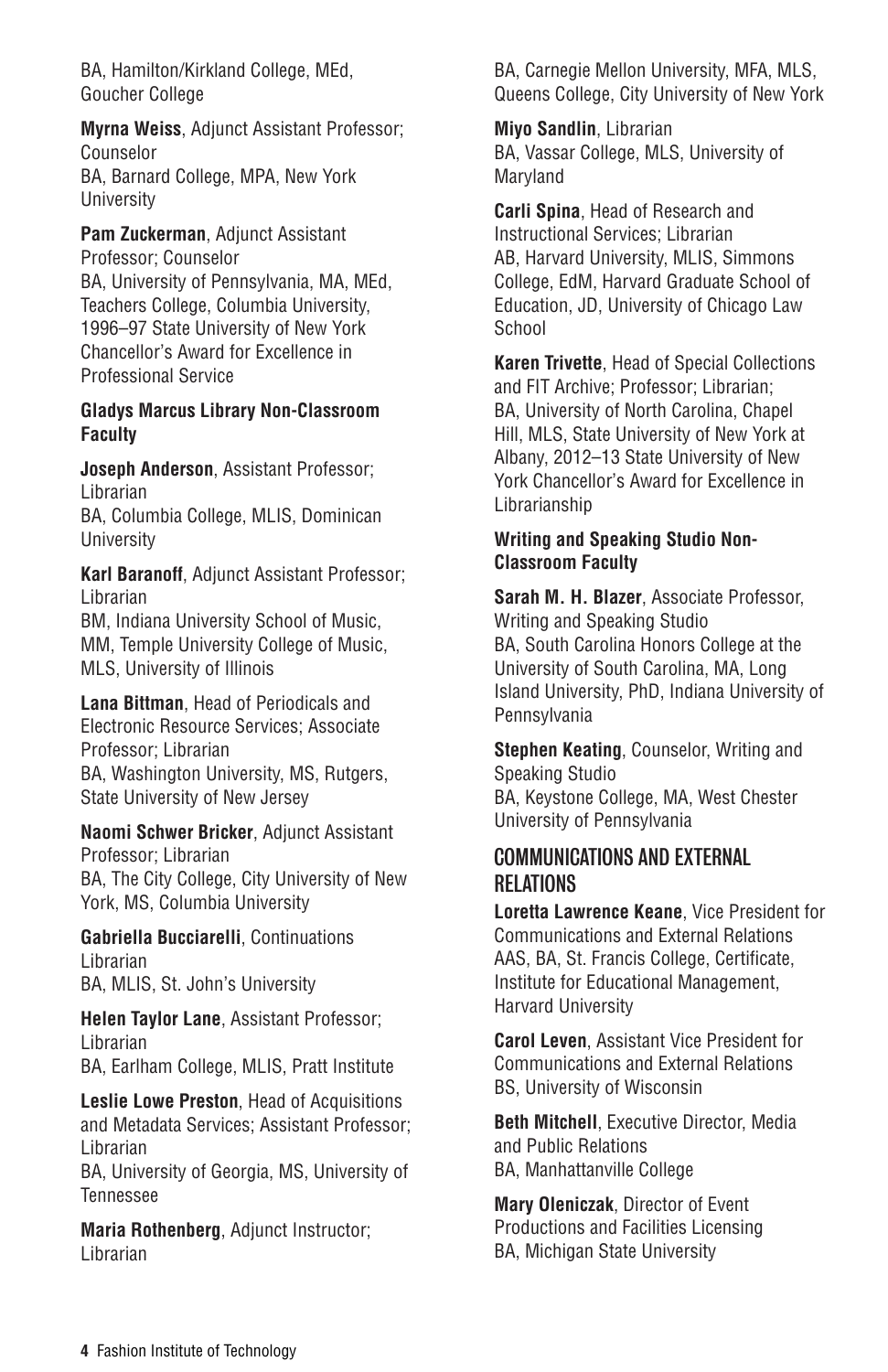BA, Hamilton/Kirkland College, MEd, Goucher College

**Myrna Weiss**, Adjunct Assistant Professor; Counselor BA, Barnard College, MPA, New York University

**Pam Zuckerman**, Adjunct Assistant Professor; Counselor BA, University of Pennsylvania, MA, MEd, Teachers College, Columbia University, 1996–97 State University of New York Chancellor's Award for Excellence in Professional Service

#### **Gladys Marcus Library Non-Classroom Faculty**

**Joseph Anderson**, Assistant Professor; Librarian BA, Columbia College, MLIS, Dominican University

**Karl Baranoff**, Adjunct Assistant Professor; Librarian BM, Indiana University School of Music, MM, Temple University College of Music, MLS, University of Illinois

**Lana Bittman**, Head of Periodicals and Electronic Resource Services; Associate Professor; Librarian BA, Washington University, MS, Rutgers, State University of New Jersey

**Naomi Schwer Bricker**, Adjunct Assistant Professor; Librarian BA, The City College, City University of New York, MS, Columbia University

**Gabriella Bucciarelli**, Continuations Librarian BA, MLIS, St. John's University

**Helen Taylor Lane**, Assistant Professor; Librarian BA, Earlham College, MLIS, Pratt Institute

**Leslie Lowe Preston**, Head of Acquisitions and Metadata Services; Assistant Professor; Librarian

BA, University of Georgia, MS, University of Tennessee

**Maria Rothenberg**, Adjunct Instructor; Librarian

BA, Carnegie Mellon University, MFA, MLS, Queens College, City University of New York

**Miyo Sandlin**, Librarian BA, Vassar College, MLS, University of Maryland

**Carli Spina**, Head of Research and Instructional Services; Librarian AB, Harvard University, MLIS, Simmons College, EdM, Harvard Graduate School of Education, JD, University of Chicago Law School

**Karen Trivette**, Head of Special Collections and FIT Archive; Professor; Librarian; BA, University of North Carolina, Chapel Hill, MLS, State University of New York at Albany, 2012–13 State University of New York Chancellor's Award for Excellence in Librarianship

### **Writing and Speaking Studio Non-Classroom Faculty**

**Sarah M. H. Blazer**, Associate Professor, Writing and Speaking Studio BA, South Carolina Honors College at the University of South Carolina, MA, Long Island University, PhD, Indiana University of Pennsylvania

**Stephen Keating**, Counselor, Writing and Speaking Studio BA, Keystone College, MA, West Chester University of Pennsylvania

### COMMUNICATIONS AND EXTERNAL RELATIONS

**Loretta Lawrence Keane**, Vice President for Communications and External Relations AAS, BA, St. Francis College, Certificate, Institute for Educational Management, Harvard University

**Carol Leven**, Assistant Vice President for Communications and External Relations BS, University of Wisconsin

**Beth Mitchell**, Executive Director, Media and Public Relations BA, Manhattanville College

**Mary Oleniczak**, Director of Event Productions and Facilities Licensing BA, Michigan State University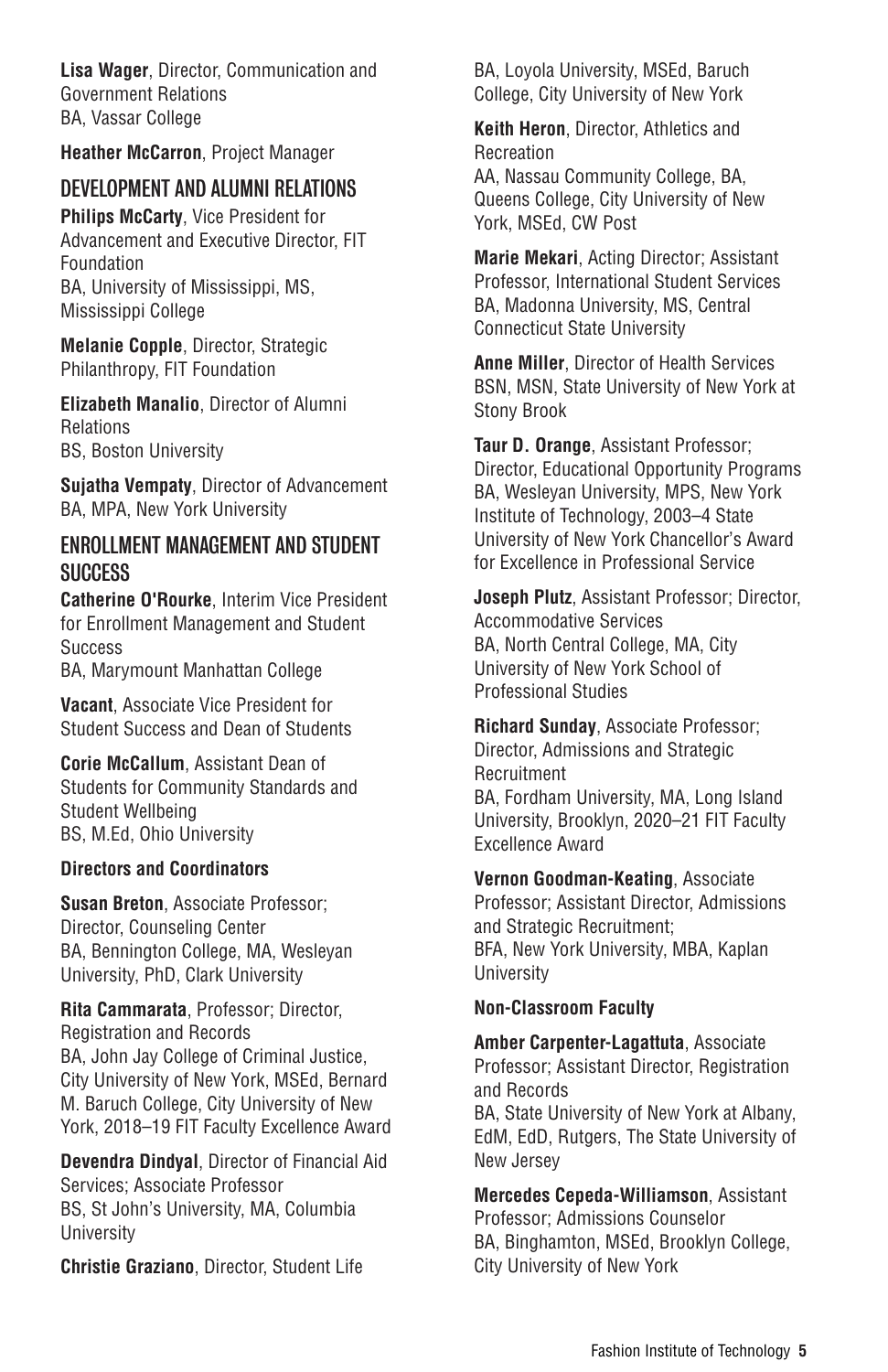**Lisa Wager**, Director, Communication and Government Relations BA, Vassar College

**Heather McCarron**, Project Manager

### DEVELOPMENT AND ALUMNI RELATIONS

**Philips McCarty**, Vice President for Advancement and Executive Director, FIT Foundation BA, University of Mississippi, MS, Mississippi College

**Melanie Copple**, Director, Strategic Philanthropy, FIT Foundation

**Elizabeth Manalio**, Director of Alumni Relations BS, Boston University

**Sujatha Vempaty**, Director of Advancement BA, MPA, New York University

### **ENROLLMENT MANAGEMENT AND STUDENT SUCCESS**

**Catherine O'Rourke**, Interim Vice President for Enrollment Management and Student **Success** 

BA, Marymount Manhattan College

**Vacant**, Associate Vice President for Student Success and Dean of Students

**Corie McCallum**, Assistant Dean of Students for Community Standards and Student Wellbeing BS, M.Ed, Ohio University

#### **Directors and Coordinators**

**Susan Breton**, Associate Professor; Director, Counseling Center BA, Bennington College, MA, Wesleyan University, PhD, Clark University

**Rita Cammarata**, Professor; Director, Registration and Records BA, John Jay College of Criminal Justice, City University of New York, MSEd, Bernard M. Baruch College, City University of New York, 2018–19 FIT Faculty Excellence Award

**Devendra Dindyal**, Director of Financial Aid Services; Associate Professor BS, St John's University, MA, Columbia University

**Christie Graziano**, Director, Student Life

BA, Loyola University, MSEd, Baruch College, City University of New York

**Keith Heron**, Director, Athletics and Recreation AA, Nassau Community College, BA, Queens College, City University of New York, MSEd, CW Post

**Marie Mekari**, Acting Director; Assistant Professor, International Student Services BA, Madonna University, MS, Central Connecticut State University

**Anne Miller**, Director of Health Services BSN, MSN, State University of New York at Stony Brook

**Taur D. Orange**, Assistant Professor; Director, Educational Opportunity Programs BA, Wesleyan University, MPS, New York Institute of Technology, 2003–4 State University of New York Chancellor's Award for Excellence in Professional Service

**Joseph Plutz**, Assistant Professor; Director, Accommodative Services BA, North Central College, MA, City University of New York School of Professional Studies

**Richard Sunday**, Associate Professor; Director, Admissions and Strategic **Recruitment** BA, Fordham University, MA, Long Island University, Brooklyn, 2020–21 FIT Faculty Excellence Award

**Vernon Goodman-Keating**, Associate Professor; Assistant Director, Admissions and Strategic Recruitment; BFA, New York University, MBA, Kaplan University

#### **Non-Classroom Faculty**

**Amber Carpenter-Lagattuta**, Associate Professor; Assistant Director, Registration and Records BA, State University of New York at Albany, EdM, EdD, Rutgers, The State University of New Jersey

**Mercedes Cepeda-Williamson**, Assistant Professor; Admissions Counselor BA, Binghamton, MSEd, Brooklyn College, City University of New York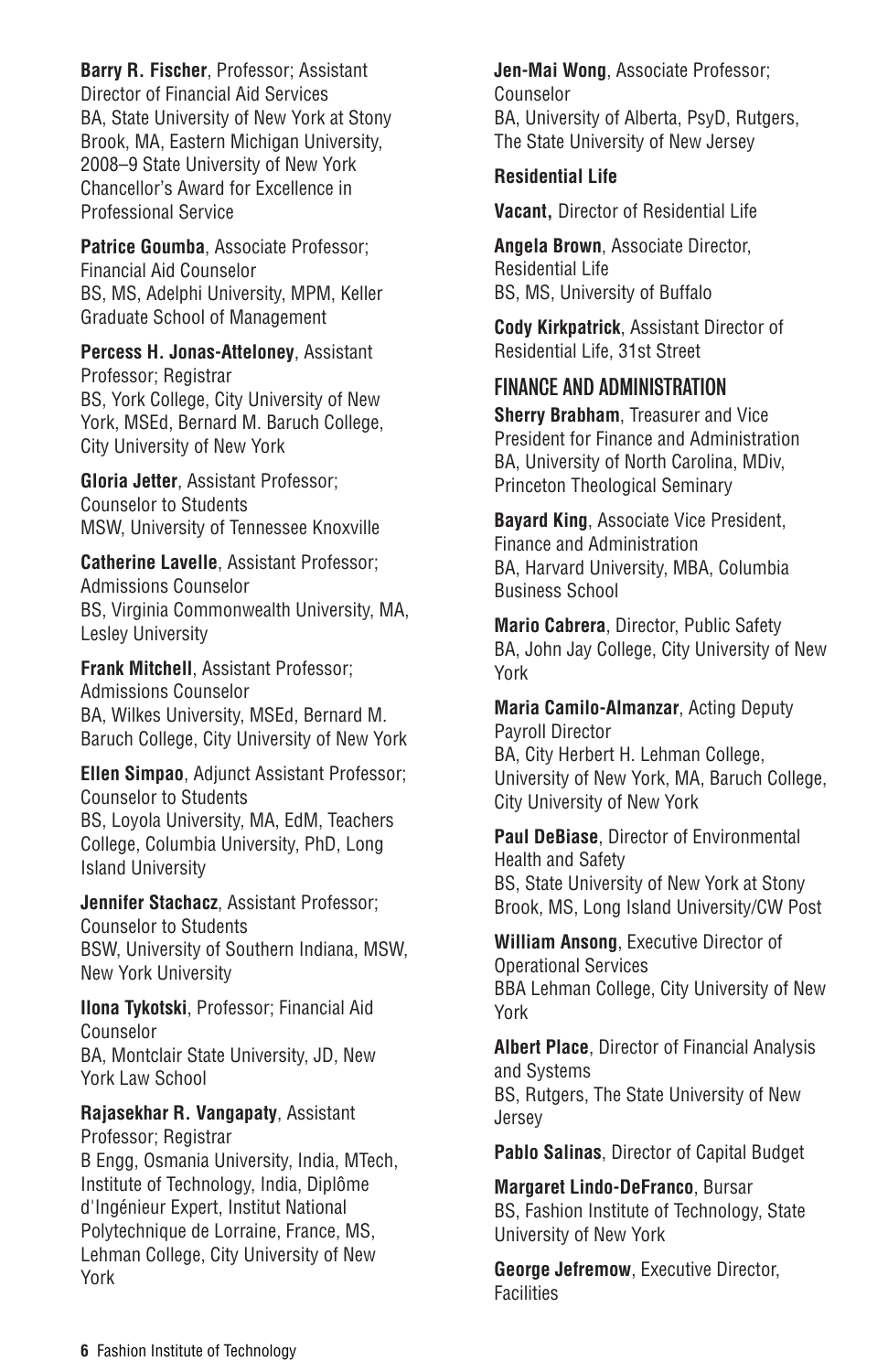**Barry R. Fischer**, Professor; Assistant Director of Financial Aid Services BA, State University of New York at Stony Brook, MA, Eastern Michigan University, 2008–9 State University of New York Chancellor's Award for Excellence in Professional Service

#### **Patrice Goumba**, Associate Professor; Financial Aid Counselor BS, MS, Adelphi University, MPM, Keller Graduate School of Management

**Percess H. Jonas-Atteloney**, Assistant Professor; Registrar BS, York College, City University of New York, MSEd, Bernard M. Baruch College, City University of New York

**Gloria Jetter**, Assistant Professor; Counselor to Students MSW, University of Tennessee Knoxville

**Catherine Lavelle**, Assistant Professor; Admissions Counselor BS, Virginia Commonwealth University, MA, Lesley University

**Frank Mitchell**, Assistant Professor; Admissions Counselor BA, Wilkes University, MSEd, Bernard M. Baruch College, City University of New York

**Ellen Simpao**, Adjunct Assistant Professor; Counselor to Students BS, Loyola University, MA, EdM, Teachers College, Columbia University, PhD, Long Island University

**Jennifer Stachacz**, Assistant Professor; Counselor to Students BSW, University of Southern Indiana, MSW, New York University

**Ilona Tykotski**, Professor; Financial Aid Counselor BA, Montclair State University, JD, New York Law School

**Rajasekhar R. Vangapaty**, Assistant Professor; Registrar B Engg, Osmania University, India, MTech, Institute of Technology, India, Diplôme d'Ingénieur Expert, Institut National Polytechnique de Lorraine, France, MS, Lehman College, City University of New York

**Jen-Mai Wong**, Associate Professor; Counselor BA, University of Alberta, PsyD, Rutgers, The State University of New Jersey

#### **Residential Life**

**Vacant,** Director of Residential Life

**Angela Brown**, Associate Director, Residential Life BS, MS, University of Buffalo

**Cody Kirkpatrick**, Assistant Director of Residential Life, 31st Street

### FINANCE AND ADMINISTRATION

**Sherry Brabham**, Treasurer and Vice President for Finance and Administration BA, University of North Carolina, MDiv, Princeton Theological Seminary

**Bayard King**, Associate Vice President, Finance and Administration BA, Harvard University, MBA, Columbia Business School

**Mario Cabrera**, Director, Public Safety BA, John Jay College, City University of New York

**Maria Camilo-Almanzar**, Acting Deputy Payroll Director BA, City Herbert H. Lehman College, University of New York, MA, Baruch College, City University of New York

**Paul DeBiase**, Director of Environmental Health and Safety BS, State University of New York at Stony Brook, MS, Long Island University/CW Post

**William Ansong**, Executive Director of Operational Services BBA Lehman College, City University of New York

**Albert Place**, Director of Financial Analysis and Systems BS, Rutgers, The State University of New Jersey

**Pablo Salinas**, Director of Capital Budget

**Margaret Lindo-DeFranco**, Bursar BS, Fashion Institute of Technology, State University of New York

**George Jefremow**, Executive Director, Facilities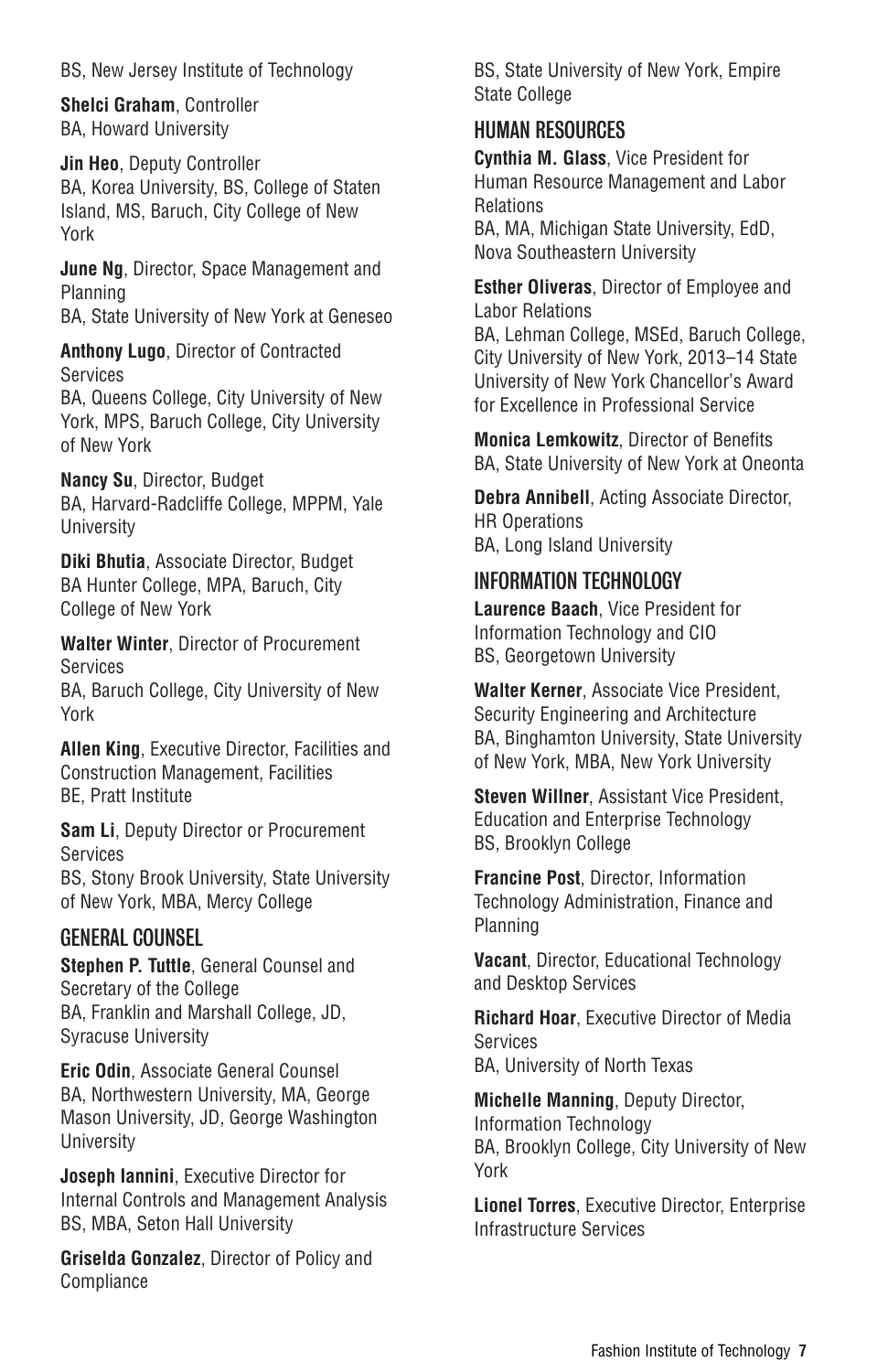BS, New Jersey Institute of Technology

**Shelci Graham**, Controller BA, Howard University

**Jin Heo**, Deputy Controller BA, Korea University, BS, College of Staten Island, MS, Baruch, City College of New York

**June Ng**, Director, Space Management and Planning

BA, State University of New York at Geneseo

**Anthony Lugo**, Director of Contracted Services

BA, Queens College, City University of New York, MPS, Baruch College, City University of New York

**Nancy Su**, Director, Budget BA, Harvard-Radcliffe College, MPPM, Yale University

**Diki Bhutia**, Associate Director, Budget BA Hunter College, MPA, Baruch, City College of New York

**Walter Winter**, Director of Procurement Services BA, Baruch College, City University of New York

**Allen King**, Executive Director, Facilities and Construction Management, Facilities BE, Pratt Institute

**Sam Li**, Deputy Director or Procurement Services BS, Stony Brook University, State University

of New York, MBA, Mercy College

### GENERAL COUNSEL

**Stephen P. Tuttle**, General Counsel and Secretary of the College BA, Franklin and Marshall College, JD, Syracuse University

**Eric Odin**, Associate General Counsel BA, Northwestern University, MA, George Mason University, JD, George Washington **University** 

**Joseph Iannini**, Executive Director for Internal Controls and Management Analysis BS, MBA, Seton Hall University

**Griselda Gonzalez**, Director of Policy and Compliance

BS, State University of New York, Empire State College

### HUMAN RESOURCES

**Cynthia M. Glass**, Vice President for Human Resource Management and Labor Relations

BA, MA, Michigan State University, EdD, Nova Southeastern University

**Esther Oliveras**, Director of Employee and Labor Relations

BA, Lehman College, MSEd, Baruch College, City University of New York, 2013–14 State University of New York Chancellor's Award for Excellence in Professional Service

**Monica Lemkowitz**, Director of Benefits BA, State University of New York at Oneonta

**Debra Annibell**, Acting Associate Director, HR Operations BA, Long Island University

### INFORMATION TECHNOLOGY

**Laurence Baach, Vice President for** Information Technology and CIO BS, Georgetown University

**Walter Kerner**, Associate Vice President, Security Engineering and Architecture BA, Binghamton University, State University of New York, MBA, New York University

**Steven Willner**, Assistant Vice President, Education and Enterprise Technology BS, Brooklyn College

**Francine Post**, Director, Information Technology Administration, Finance and Planning

**Vacant**, Director, Educational Technology and Desktop Services

**Richard Hoar**, Executive Director of Media Services BA, University of North Texas

**Michelle Manning**, Deputy Director, Information Technology BA, Brooklyn College, City University of New York

**Lionel Torres**, Executive Director, Enterprise Infrastructure Services